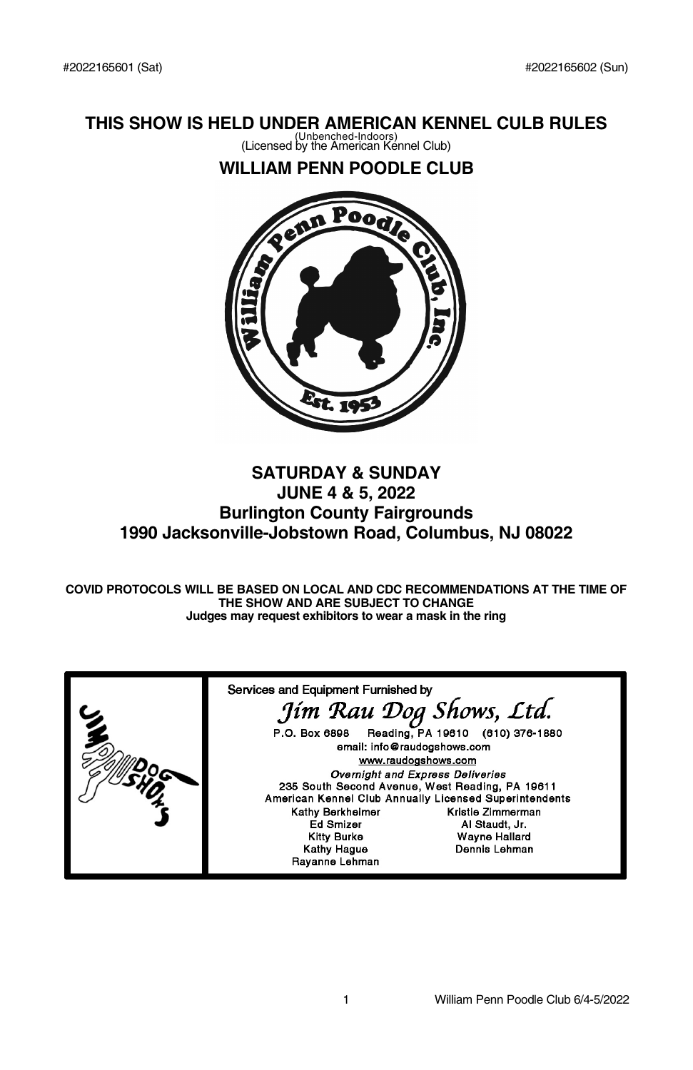## **THIS SHOW IS HELD UNDER AMERICAN KENNEL CULB RULES**

(Unbenched-Indoors) (Licensed by the American Kennel Club)

## **WILLIAM PENN POODLE CLUB**



## **SATURDAY & SUNDAY JUNE 4 & 5, 2022 Burlington County Fairgrounds 1990 Jacksonville-Jobstown Road, Columbus, NJ 08022**

**COVID PROTOCOLS WILL BE BASED ON LOCAL AND CDC RECOMMENDATIONS AT THE TIME OF THE SHOW AND ARE SUBJECT TO CHANGE Judges may request exhibitors to wear a mask in the ring**

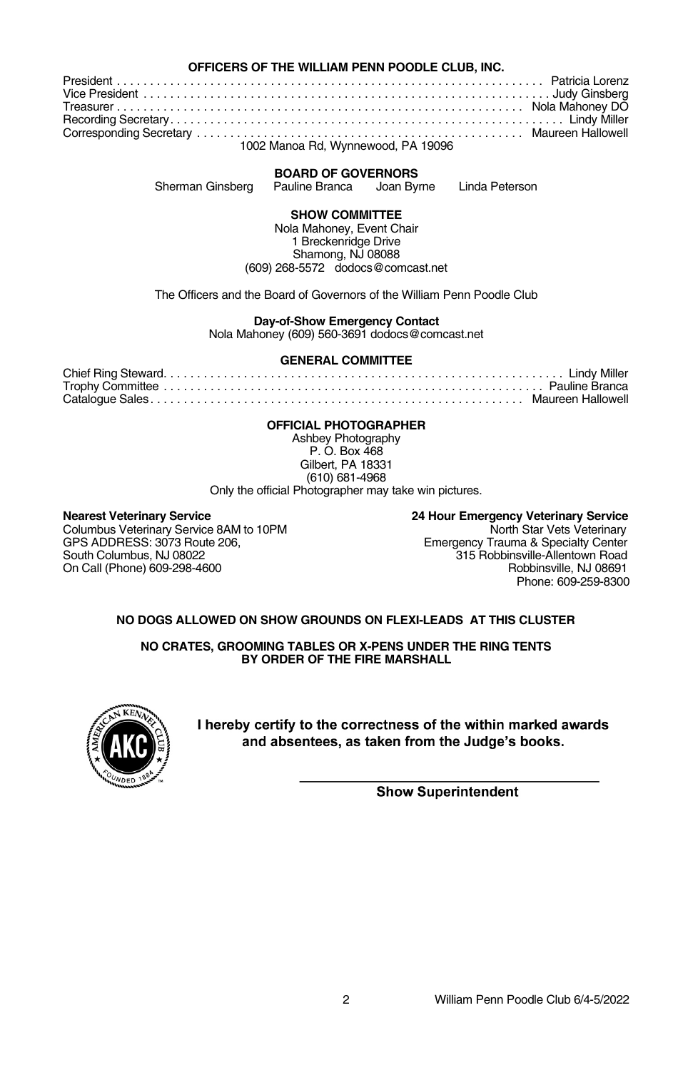#### **OFFICERS OF THE WILLIAM PENN POODLE CLUB, INC.**

President . . . . . . . . . . . . . . . . . . . . . . . . . . . . . . . . . . . . . . . . . . . . . . . . . . . . . . . . . . . . . . . . Patricia Lorenz Vice President . . . . . . . . . . . . . . . . . . . . . . . . . . . . . . . . . . . . . . . . . . . . . . . . . . . . . . . . . . . . . Judy Ginsberg Treasurer . . . . . . . . . . . . . . . . . . . . . . . . . . . . . . . . . . . . . . . . . . . . . . . . . . . . . . . . . . . . . Nola Mahoney DO Recording Secretary. . . . . . . . . . . . . . . . . . . . . . . . . . . . . . . . . . . . . . . . . . . . . . . . . . . . . . . . . . . Lindy Miller Corresponding Secretary . . . . . . . . . . . . . . . . . . . . . . . . . . . . . . . . . . . . . . . . . . . . . . . . . Maureen Hallowell

## 1002 Manoa Rd, Wynnewood, PA 19096

#### **BOARD OF GOVERNORS**

Sherman Ginsberg Pauline Branca Joan Byrne Linda Peterson

**SHOW COMMITTEE**

Nola Mahoney, Event Chair 1 Breckenridge Drive Shamong, NJ 08088 (609) 268-5572 dodocs@comcast.net

The Officers and the Board of Governors of the William Penn Poodle Club

**Day-of-Show Emergency Contact**

Nola Mahoney (609) 560-3691 dodocs@comcast.net

#### **GENERAL COMMITTEE**

#### **OFFICIAL PHOTOGRAPHER**

Ashbey Photography P. O. Box 468 Gilbert, PA 18331 (610) 681-4968 Only the official Photographer may take win pictures.

Columbus Veterinary Service 8AM to 10PM<br>GPS ADDRESS: 3073 Route 206.

**Nearest Veterinary Service 24 Hour Emergency Veterinary Service** GPS ADDRESS: 3073 Route 206, Emergency Trauma & Specialty Center South Columbus, NJ 08022 315 Robbinsville-Allentown Road On Call (Phone) 609-298-4600 Call (Phone) 609-298-4600 Phone: 609-259-8300

#### **NO DOGS ALLOWED ON SHOW GROUNDS ON FLEXI-LEADS AT THIS CLUSTER**

**NO CRATES, GROOMING TABLES OR X-PENS UNDER THE RING TENTS BY ORDER OF THE FIRE MARSHALL**



I hereby certify to the correctness of the within marked awards and absentees, as taken from the Judge's books.

**Show Superintendent**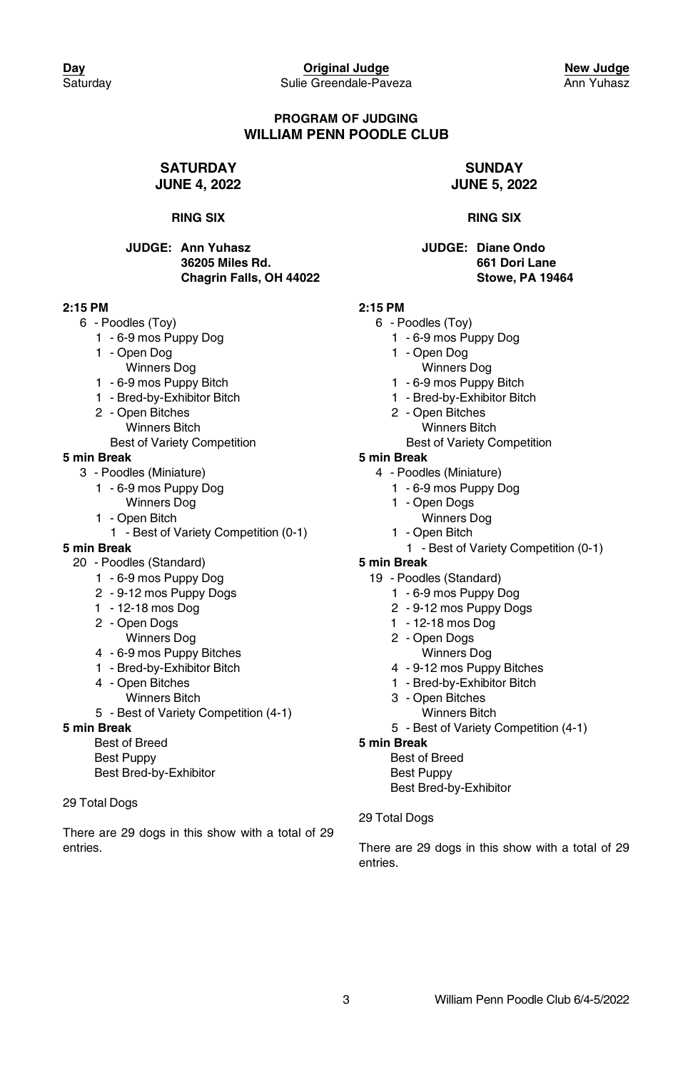#### **PROGRAM OF JUDGING WILLIAM PENN POODLE CLUB**

#### **SATURDAY JUNE 4, 2022**

#### **RING SIX**

#### **JUDGE: Ann Yuhasz 36205 Miles Rd. Chagrin Falls, OH 44022**

#### **2:15 PM**

- 6 Poodles (Toy)
	- 1 6-9 mos Puppy Dog
	- 1 Open Dog
		- Winners Dog
	- 1 6-9 mos Puppy Bitch
	- 1 Bred-by-Exhibitor Bitch
	- 2 Open Bitches Winners Bitch
		- Best of Variety Competition

#### **5 min Break**

- 3 Poodles (Miniature)
	- 1 6-9 mos Puppy Dog Winners Dog
	- 1 Open Bitch
	- 1 Best of Variety Competition (0-1)

### **5 min Break**

- 20 Poodles (Standard)
	- 1 6-9 mos Puppy Dog
	- 2 9-12 mos Puppy Dogs
	- 1 12-18 mos Dog
	- 2 Open Dogs
	- Winners Dog
	- 4 6-9 mos Puppy Bitches
	- 1 Bred-by-Exhibitor Bitch
	- 4 Open Bitches Winners Bitch
	- 5 Best of Variety Competition (4-1)

#### **5 min Break**

Best of Breed Best Puppy Best Bred-by-Exhibitor

#### 29 Total Dogs

There are 29 dogs in this show with a total of 29 entries.

#### **SUNDAY JUNE 5, 2022**

#### **RING SIX**

**JUDGE: Diane Ondo 661 Dori Lane Stowe, PA 19464**

### **2:15 PM**

- 6 Poodles (Toy)
	- 1 6-9 mos Puppy Dog
	- 1 Open Dog
		- Winners Dog
	- 1 6-9 mos Puppy Bitch
	- 1 Bred-by-Exhibitor Bitch
	- 2 Open Bitches Winners Bitch
		- Best of Variety Competition

#### **5 min Break**

- 4 Poodles (Miniature)
	- 1 6-9 mos Puppy Dog
	- 1 Open Dogs
		- Winners Dog
	- 1 Open Bitch
		- 1 Best of Variety Competition (0-1)

#### **5 min Break**

- 19 Poodles (Standard)
	- 1 6-9 mos Puppy Dog
	- 2 9-12 mos Puppy Dogs
	- 1 12-18 mos Dog
	- 2 Open Dogs Winners Dog
	- 4 9-12 mos Puppy Bitches
	- 1 Bred-by-Exhibitor Bitch
	- 3 Open Bitches
		- Winners Bitch
	- 5 Best of Variety Competition (4-1)

#### **5 min Break**

- Best of Breed Best Puppy Best Bred-by-Exhibitor
- 29 Total Dogs

There are 29 dogs in this show with a total of 29 entries.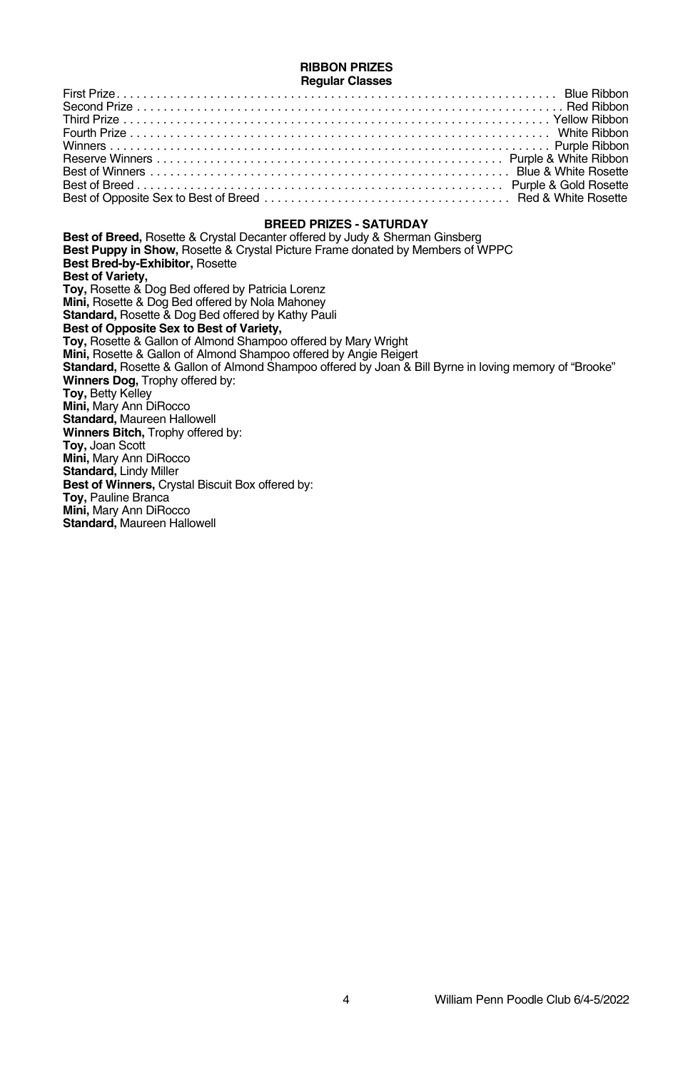#### **RIBBON PRIZES Regular Classes**

### **BREED PRIZES - SATURDAY**

**Best of Breed,** Rosette & Crystal Decanter offered by Judy & Sherman Ginsberg **Best Puppy in Show,** Rosette & Crystal Picture Frame donated by Members of WPPC **Best Bred-by-Exhibitor,** Rosette **Best of Variety, Toy,** Rosette & Dog Bed offered by Patricia Lorenz **Mini,** Rosette & Dog Bed offered by Nola Mahoney **Standard,** Rosette & Dog Bed offered by Kathy Pauli **Best of Opposite Sex to Best of Variety, Toy,** Rosette & Gallon of Almond Shampoo offered by Mary Wright **Mini,** Rosette & Gallon of Almond Shampoo offered by Angie Reigert **Standard,** Rosette & Gallon of Almond Shampoo offered by Joan & Bill Byrne in loving memory of "Brooke" **Winners Dog,** Trophy offered by: **Toy,** Betty Kelley **Mini,** Mary Ann DiRocco **Standard,** Maureen Hallowell **Winners Bitch,** Trophy offered by: **Toy,** Joan Scott **Mini,** Mary Ann DiRocco **Standard,** Lindy Miller **Best of Winners,** Crystal Biscuit Box offered by: **Toy,** Pauline Branca **Mini,** Mary Ann DiRocco **Standard,** Maureen Hallowell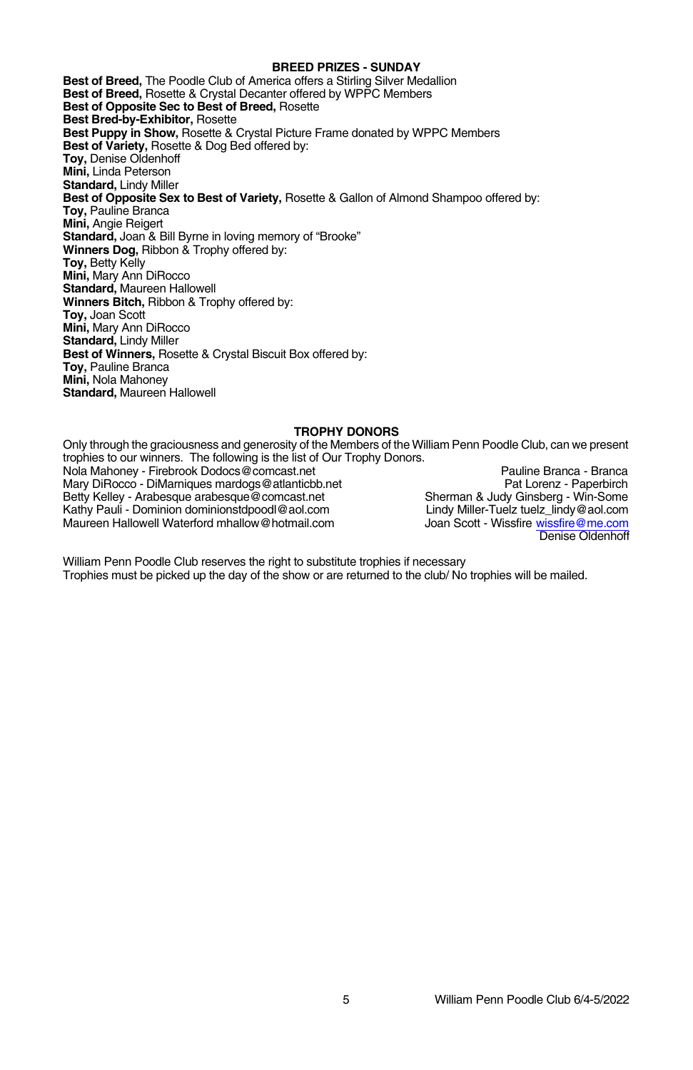#### **BREED PRIZES - SUNDAY**

**Best of Breed,** The Poodle Club of America offers a Stirling Silver Medallion **Best of Breed,** Rosette & Crystal Decanter offered by WPPC Members **Best of Opposite Sec to Best of Breed,** Rosette **Best Bred-by-Exhibitor,** Rosette **Best Puppy in Show,** Rosette & Crystal Picture Frame donated by WPPC Members **Best of Variety,** Rosette & Dog Bed offered by: **Toy,** Denise Oldenhoff **Mini,** Linda Peterson **Standard,** Lindy Miller **Best of Opposite Sex to Best of Variety,** Rosette & Gallon of Almond Shampoo offered by: **Toy,** Pauline Branca **Mini,** Angie Reigert **Standard,** Joan & Bill Byrne in loving memory of "Brooke" **Winners Dog,** Ribbon & Trophy offered by: **Toy,** Betty Kelly **Mini,** Mary Ann DiRocco **Standard,** Maureen Hallowell **Winners Bitch,** Ribbon & Trophy offered by: **Toy,** Joan Scott **Mini,** Mary Ann DiRocco **Standard,** Lindy Miller **Best of Winners,** Rosette & Crystal Biscuit Box offered by: **Toy,** Pauline Branca **Mini,** Nola Mahoney **Standard,** Maureen Hallowell

#### **TROPHY DONORS**

Only through the graciousness and generosity of the Members of the William Penn Poodle Club, can we present trophies to our winners. The following is the list of Our Trophy Donors. Nola Mahoney - Firebrook Dodocs@comcast.net Pauline Branca - Branca - Branca - Branca - Branca - Branca - Branca<br>Pauline Branca - DiMarniques mardogs@atlanticbb.net Pauline Branca - Pauline Branca - Paperbirch Mary DiRocco - DiMarniques mardogs@atlanticbb.net<br>
Betty Kelley - Arabesque arabesque@comcast.net Paperbirch<br>
Betty Kelley - Arabesque arabesque@comcast.net Sherman & Judy Ginsberg - Win-Some Betty Kelley - Arabesque arabesque@comcast.net Sherman & Judy Ginsberg - Win-Some<br>Sherman & Judy Games - Sherman Brander Tuelz tuelz\_lindy@aol.com Kathy Pauli - Dominion dominionstdpoodl@aol.com Lindy Miller-Tuelz tuelz\_lindy@aol.com<br>Maureen Hallowell Waterford mhallow@hotmail.com Joan Scott - Wissfire wissfire@me.com Maureen Hallowell Waterford mhallow@hotmail.com Denise Oldenhoff

William Penn Poodle Club reserves the right to substitute trophies if necessary Trophies must be picked up the day of the show or are returned to the club/ No trophies will be mailed.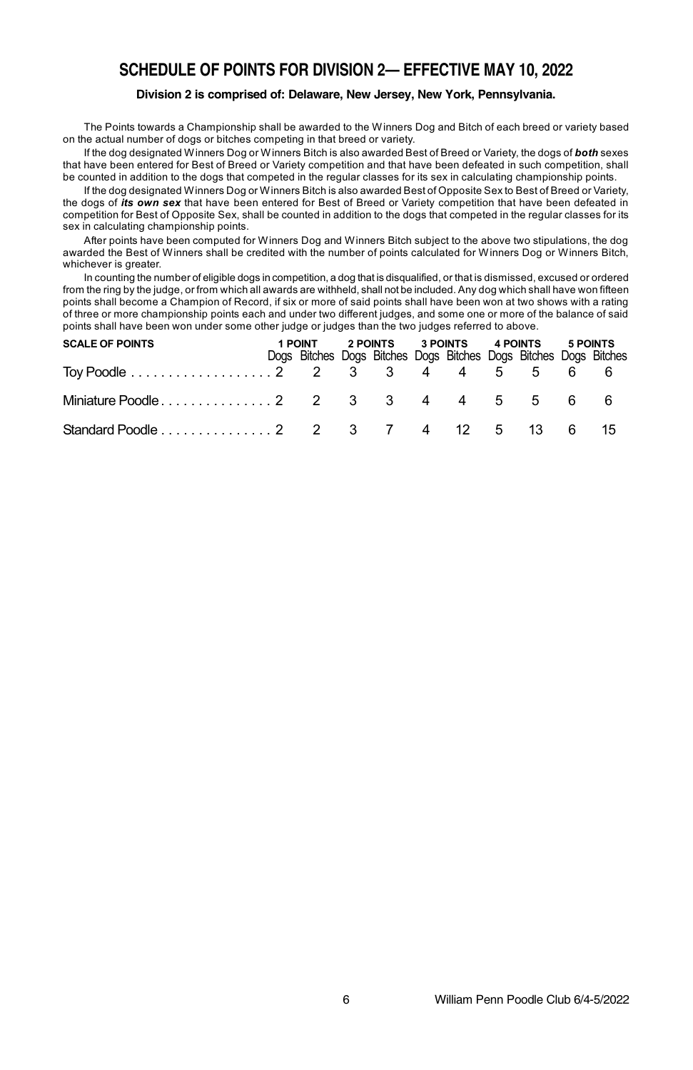## **SCHEDULE OF POINTS FOR DIVISION 2— EFFECTIVE MAY 10, 2022**

#### **Division 2 is comprised of: Delaware, New Jersey, New York, Pennsylvania.**

The Points towards a Championship shall be awarded to the Winners Dog and Bitch of each breed or variety based on the actual number of dogs or bitches competing in that breed or variety.

If the dog designated Winners Dog or Winners Bitch is also awarded Best of Breed or Variety, the dogs of *both* sexes that have been entered for Best of Breed or Variety competition and that have been defeated in such competition, shall be counted in addition to the dogs that competed in the regular classes for its sex in calculating championship points.

If the dog designated Winners Dog or Winners Bitch is also awarded Best of Opposite Sex to Best of Breed or Variety, the dogs of *its own sex* that have been entered for Best of Breed or Variety competition that have been defeated in competition for Best of Opposite Sex, shall be counted in addition to the dogs that competed in the regular classes for its sex in calculating championship points.

After points have been computed for Winners Dog and Winners Bitch subject to the above two stipulations, the dog awarded the Best of Winners shall be credited with the number of points calculated for Winners Dog or Winners Bitch, whichever is greater.

In counting the number of eligible dogs in competition, a dog that is disqualified, or that is dismissed, excused or ordered from the ring by the judge, or from which all awards are withheld, shall not be included. Any dog which shall have won fifteen points shall become a Champion of Record, if six or more of said points shall have been won at two shows with a rating of three or more championship points each and under two different judges, and some one or more of the balance of said points shall have been won under some other judge or judges than the two judges referred to above.

| <b>SCALE OF POINTS</b>                 |  |  |  |  | 1 POINT 2 POINTS 3 POINTS 4 POINTS 5 POINTS |                                                                  |  |  |  |  |
|----------------------------------------|--|--|--|--|---------------------------------------------|------------------------------------------------------------------|--|--|--|--|
|                                        |  |  |  |  |                                             | Dogs Bitches Dogs Bitches Dogs Bitches Dogs Bitches Dogs Bitches |  |  |  |  |
| Toy Poodle 2 2 3 3 4 4 5 5 6 6 6       |  |  |  |  |                                             |                                                                  |  |  |  |  |
|                                        |  |  |  |  |                                             |                                                                  |  |  |  |  |
| Standard Poodle 2 2 3 7 4 12 5 13 6 15 |  |  |  |  |                                             |                                                                  |  |  |  |  |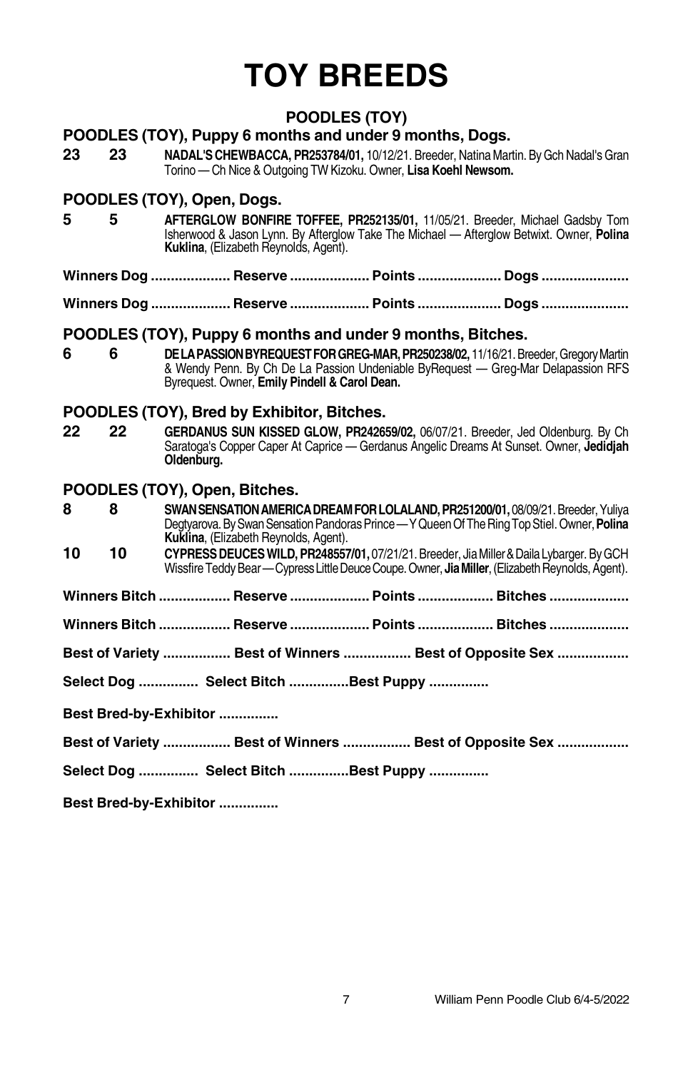# **TOY BREEDS**

## **POODLES (TOY)**

## **POODLES (TOY), Puppy 6 months and under 9 months, Dogs.**

**23 23 NADAL'S CHEWBACCA, PR253784/01, 10/12/21. Breeder, Natina Martin. By Gch Nadal's Gran** Torino — Ch Nice & Outgoing TW Kizoku. Owner, **Lisa Koehl Newsom.**

## **POODLES (TOY), Open, Dogs.**

- **5 5 AFTERGLOW BONFIRE TOFFEE, PR252135/01,** 11/05/21. Breeder, Michael Gadsby Tom Isherwood & Jason Lynn. By Afterglow Take The Michael — Afterglow Betwixt. Owner, **Polina Kuklina**, (Elizabeth Reynolds, Agent).
- **Winners Dog .................... Reserve .................... Points ..................... Dogs ......................**

**Winners Dog .................... Reserve .................... Points ..................... Dogs ......................**

## **POODLES (TOY), Puppy 6 months and under 9 months, Bitches.**

**6 6 DELAPASSIONBYREQUESTFORGREG-MAR,PR250238/02,** 11/16/21.Breeder,GregoryMartin & Wendy Penn. By Ch De La Passion Undeniable ByRequest — Greg-Mar Delapassion RFS Byrequest. Owner, **Emily Pindell & Carol Dean.**

## **POODLES (TOY), Bred by Exhibitor, Bitches.**

**22 22 GERDANUS SUN KISSED GLOW, PR242659/02,** 06/07/21. Breeder, Jed Oldenburg. By Ch Saratoga's Copper Caper At Caprice — Gerdanus Angelic Dreams At Sunset. Owner, **Jedidjah Oldenburg.**

## **POODLES (TOY), Open, Bitches.**

**8 8 8 SWAN SENSATION AMERICA DREAM FOR LOLALAND, PR251200/01, 08/09/21. Breeder, Yuliya** Degtyarova.BySwanSensationPandorasPrince—YQueenOf TheRingTopStiel. Owner,**Polina Kuklina**, (Elizabeth Reynolds, Agent).

- **10 10 CYPRESSDEUCESWILD, PR248557/01,** 07/21/21. Breeder, JiaMiller&DailaLybarger. ByGCH Wissfire Teddy Bear—Cypress Little Deuce Coupe. Owner, **Jia Miller**, (Elizabeth Reynolds, Agent).
- **Winners Bitch .................. Reserve .................... Points ................... Bitches ....................**

**Winners Bitch .................. Reserve .................... Points ................... Bitches ....................**

- **Best of Variety ................. Best of Winners ................. Best of Opposite Sex ..................**
- **Select Dog ............... Select Bitch ...............Best Puppy ...............**

**Best Bred-by-Exhibitor ...............**

**Best of Variety ................. Best of Winners ................. Best of Opposite Sex ..................**

**Select Dog ............... Select Bitch ...............Best Puppy ...............**

**Best Bred-by-Exhibitor ...............**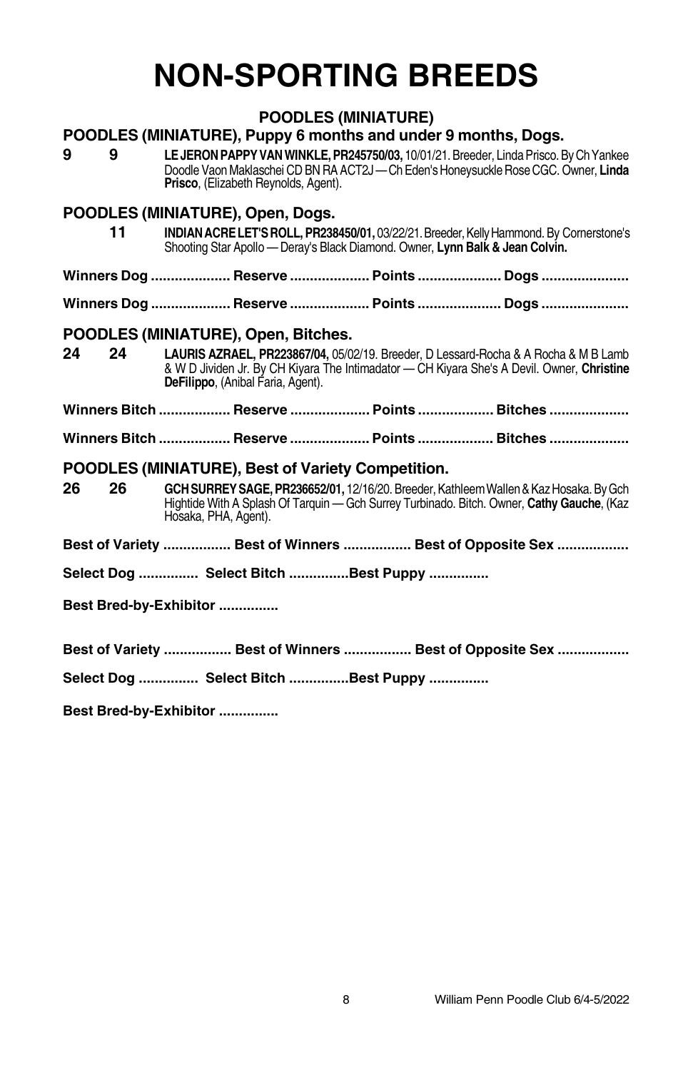## **NON-SPORTING BREEDS**

## **POODLES (MINIATURE)**

## **POODLES (MINIATURE), Puppy 6 months and under 9 months, Dogs.**

**9 9 LEJERON PAPPY VAN WINKLE, PR245750/03, 10/01/21. Breeder, Linda Prisco. By Ch Yankee** Doodle VaonMaklaschei CDBNRA ACT2J—ChEden'sHoneysuckleRoseCGC. Owner, **Linda Prisco**, (Elizabeth Reynolds, Agent).

## **POODLES (MINIATURE), Open, Dogs.**

| - 11 | <b>INDIAN ACRE LET'S ROLL, PR238450/01, 03/22/21. Breeder, Kelly Hammond. By Cornerstone's</b> |
|------|------------------------------------------------------------------------------------------------|
|      | Shooting Star Apollo — Deray's Black Diamond. Owner, Lynn Balk & Jean Colvin.                  |

**Winners Dog .................... Reserve .................... Points ..................... Dogs ......................**

**Winners Dog .................... Reserve .................... Points ..................... Dogs ......................**

## **POODLES (MINIATURE), Open, Bitches.**

**24 24 LAURIS AZRAEL, PR223867/04,** 05/02/19. Breeder, D Lessard-Rocha & A Rocha & M B Lamb & W D Jividen Jr. By CH Kiyara The Intimadator — CH Kiyara She's A Devil. Owner, **Christine** De**Filippo**, (Anibal Faria, Agent).

**Winners Bitch .................. Reserve .................... Points ................... Bitches ....................**

**Winners Bitch .................. Reserve .................... Points ................... Bitches ....................**

## **POODLES (MINIATURE), Best of Variety Competition.**

**26 26 GCHSURREYSAGE, PR236652/01,** 12/16/20. Breeder, KathleemWallen&KazHosaka. ByGch Hightide With A Splash Of Tarquin — Gch Surrey Turbinado. Bitch. Owner, **Cathy Gauche**, (Kaz Hosaka, PHA, Agent).

**Best of Variety ................. Best of Winners ................. Best of Opposite Sex ..................**

**Select Dog ............... Select Bitch ...............Best Puppy ...............**

**Best Bred-by-Exhibitor ...............**

**Best of Variety ................. Best of Winners ................. Best of Opposite Sex ..................**

**Select Dog ............... Select Bitch ...............Best Puppy ...............**

**Best Bred-by-Exhibitor ...............**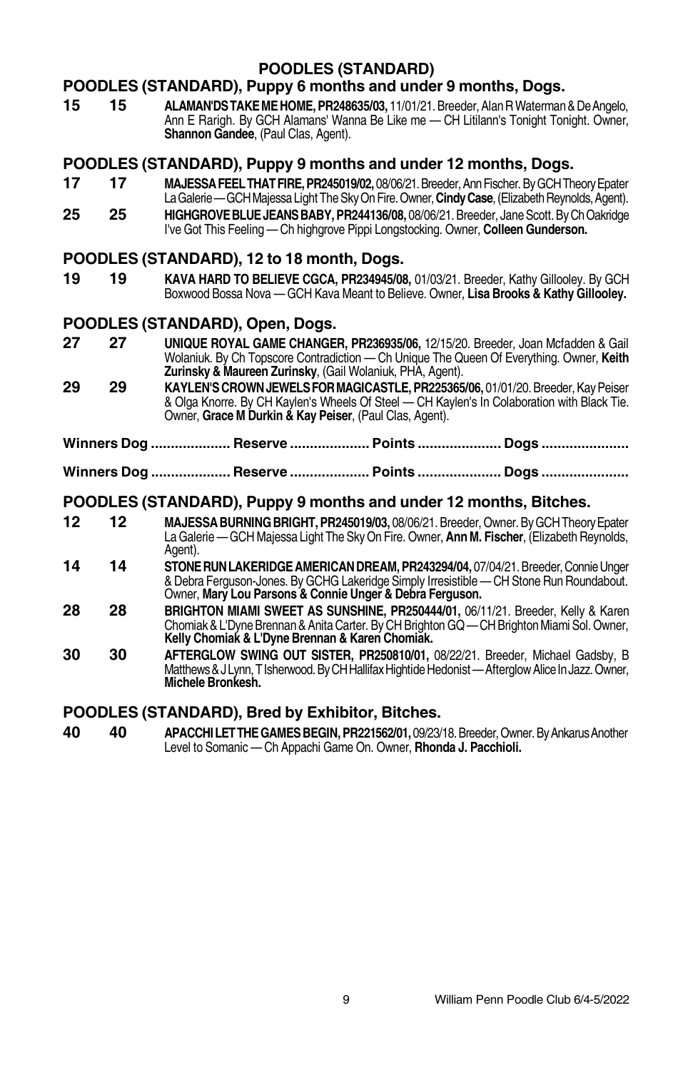## **POODLES (STANDARD)**

## **POODLES (STANDARD), Puppy 6 months and under 9 months, Dogs.**

**15 15 ALAMAN'DSTAKEMEHOME, PR248635/03,** 11/01/21. Breeder, AlanRWaterman&DeAngelo, Ann E Rarigh. By GCH Alamans' Wanna Be Like me — CH Litilann's Tonight Tonight. Owner, **Shannon Gandee**, (Paul Clas, Agent).

### **POODLES (STANDARD), Puppy 9 months and under 12 months, Dogs.**

- **17 17 MAJESSAFEELTHATFIRE,PR245019/02,** 08/06/21.Breeder,AnnFischer.ByGCHTheoryEpater La Galerie — GCH Majessa Light The Sky On Fire. Owner, Cindy Case, (Elizabeth Reynolds, Agent).
- **25 25 HIGHGROVE BLUE JEANS BABY, PR244136/08.** 08/06/21. Breeder, Jane Scott. By Ch Oakridge I've Got This Feeling — Ch highgrove Pippi Longstocking. Owner, **Colleen Gunderson.**

## **POODLES (STANDARD), 12 to 18 month, Dogs.**

**19 19 KAVA HARD TO BELIEVE CGCA, PR234945/08,** 01/03/21. Breeder, Kathy Gillooley. By GCH Boxwood Bossa Nova — GCH Kava Meant to Believe. Owner, **Lisa Brooks & Kathy Gillooley.**

## **POODLES (STANDARD), Open, Dogs.**

- **27 27 UNIQUE ROYAL GAME CHANGER, PR236935/06,** 12/15/20. Breeder, Joan Mcfadden & Gail Wolaniuk. By Ch Topscore Contradiction — Ch Unique The Queen Of Everything. Owner, **Keith Zurinsky & Maureen Zurinsky, (Gail Wolaniuk, PHA, Agent).**
- **29 29 KAYLEN'SCROWNJEWELSFORMAGICASTLE, PR225365/06,** 01/01/20. Breeder,KayPeiser & Olga Knorre. By CH Kaylen's Wheels Of Steel — CH Kaylen's In Colaboration with Black Tie. Owner, **GraceM Durkin & Kay Peiser**, (Paul Clas, Agent).
- **Winners Dog .................... Reserve .................... Points ..................... Dogs ......................**
- **Winners Dog .................... Reserve .................... Points ..................... Dogs ......................**

## **POODLES (STANDARD), Puppy 9 months and under 12 months, Bitches.**

- **12 12 MAJESSABURNINGBRIGHT,PR245019/03,** 08/06/21. Breeder, Owner. ByGCHTheoryEpater LaGalerie —GCHMajessa Light The SkyOn Fire. Owner, **AnnM. Fischer**, (ElizabethReynolds, Agent).
- **14 14 STONERUNLAKERIDGEAMERICANDREAM, PR243294/04,** 07/04/21.Breeder,ConnieUnger & Debra Ferguson-Jones. By GCHG Lakeridge Simply Irresistible — CH Stone Run Roundabout. Owner, **Mary Lou Parsons & Connie Unger & Debra Ferguson.**
- **28 28 BRIGHTON MIAMI SWEET AS SUNSHINE, PR250444/01,** 06/11/21. Breeder, Kelly & Karen Chomiak & L'Dyne Brennan & Anita Carter. By CH Brighton GQ — CH Brighton Miami Sol. Owner, **Kelly Chomiak & L'Dyne Brennan & Karen Chomiak.**
- **30 30 AFTERGLOW SWING OUT SISTER, PR250810/01,** 08/22/21. Breeder, Michael Gadsby, B Matthews & J Lynn, T Isherwood. By CH Hallifax Hightide Hedonist — Afterglow Alice In Jazz. Owner, **Michele Bronkesh.**

## **POODLES (STANDARD), Bred by Exhibitor, Bitches.**

**40 40 APACCHILETTHEGAMESBEGIN, PR221562/01,** 09/23/18.Breeder,Owner.ByAnkarusAnother Level to Somanic — Ch Appachi Game On. Owner, **Rhonda J. Pacchioli.**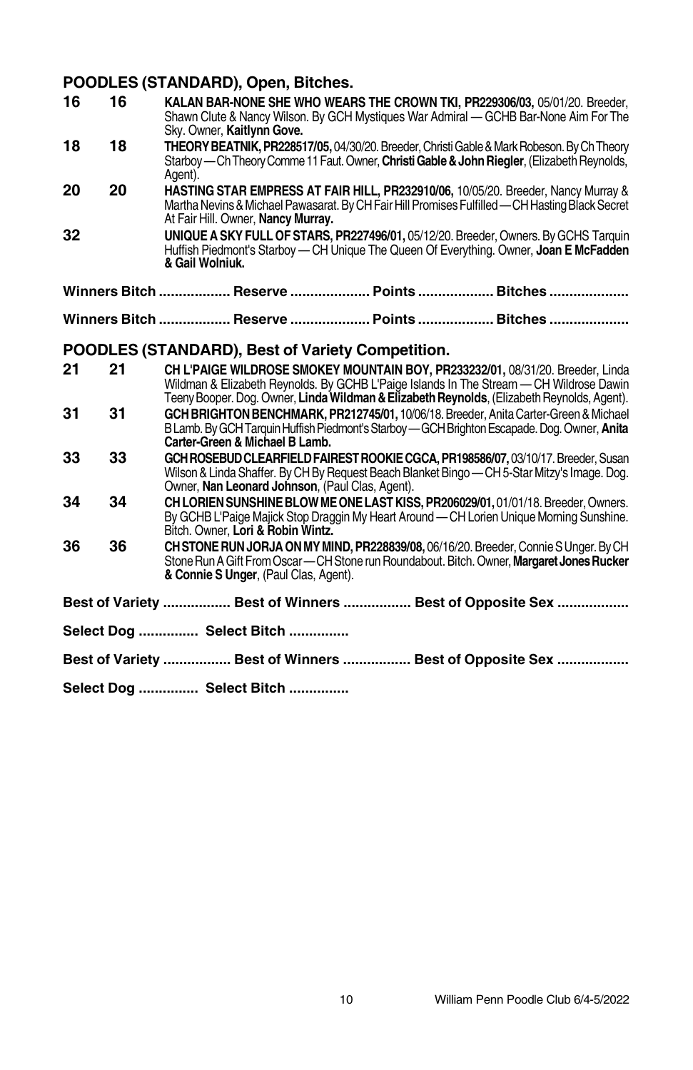## **POODLES (STANDARD), Open, Bitches.**

|    |    | , OUDLLU (UTANDAND), Open, Dituites.                                                                                                                                                                                                                                    |
|----|----|-------------------------------------------------------------------------------------------------------------------------------------------------------------------------------------------------------------------------------------------------------------------------|
| 16 | 16 | KALAN BAR-NONE SHE WHO WEARS THE CROWN TKI, PR229306/03, 05/01/20, Breeder,<br>Shawn Clute & Nancy Wilson, By GCH Mystiques War Admiral — GCHB Bar-None Aim For The<br>Sky. Owner, Kaitlynn Gove.                                                                       |
| 18 | 18 | THEORY BEATNIK, PR228517/05, 04/30/20. Breeder, Christi Gable & Mark Robeson. By Ch Theory<br>Starboy - Ch Theory Comme 11 Faut. Owner, Christi Gable & John Riegler, (Elizabeth Reynolds,<br>Agent).                                                                   |
| 20 | 20 | HASTING STAR EMPRESS AT FAIR HILL, PR232910/06, 10/05/20. Breeder, Nancy Murray &<br>Martha Nevins & Michael Pawasarat. By CH Fair Hill Promises Fulfilled - CH Hasting Black Secret<br>At Fair Hill. Owner, Nancy Murray.                                              |
| 32 |    | UNIQUE A SKY FULL OF STARS, PR227496/01, 05/12/20. Breeder, Owners. By GCHS Tarquin<br>Huffish Piedmont's Starboy — CH Unique The Queen Of Everything. Owner, Joan E McFadden<br>& Gail Wolniuk.                                                                        |
|    |    | Winners Bitch  Reserve  Points  Bitches                                                                                                                                                                                                                                 |
|    |    | Winners Bitch  Reserve  Points  Bitches                                                                                                                                                                                                                                 |
|    |    | POODLES (STANDARD), Best of Variety Competition.                                                                                                                                                                                                                        |
| 21 | 21 | CH L'PAIGE WILDROSE SMOKEY MOUNTAIN BOY, PR233232/01, 08/31/20. Breeder, Linda<br>Wildman & Elizabeth Reynolds. By GCHB L'Paige Islands In The Stream - CH Wildrose Dawin<br>Teeny Booper. Dog. Owner, Linda Wildman & Elizabeth Reynolds, (Elizabeth Reynolds, Agent). |
| 31 | 31 | GCH BRIGHTON BENCHMARK, PR212745/01, 10/06/18. Breeder, Anita Carter-Green & Michael<br>B Lamb. By GCH Tarquin Huffish Piedmont's Starboy - GCH Brighton Escapade. Dog. Owner, Anita<br>Carter-Green & Michael B Lamb.                                                  |
| 33 | 33 | GCH ROSEBUD CLEARFIELD FAIREST ROOKIE CGCA, PR198586/07, 03/10/17, Breeder, Susan<br>Wilson & Linda Shaffer. By CH By Request Beach Blanket Bingo — CH 5-Star Mitzy's Image. Dog.<br>Owner, Nan Leonard Johnson, (Paul Clas, Agent).                                    |
| 34 | 34 | CH LORIEN SUNSHINE BLOW ME ONE LAST KISS, PR206029/01, 01/01/18. Breeder, Owners.<br>By GCHB L'Paige Majick Stop Draggin My Heart Around - CH Lorien Unique Morning Sunshine.<br>Bitch. Owner, Lori & Robin Wintz.                                                      |
| 36 | 36 | CHSTONE RUN JORJA ON MY MIND, PR228839/08, 06/16/20. Breeder, Connie S Unger. By CH<br>Stone Run A Gift From Oscar - CH Stone run Roundabout. Bitch. Owner, Margaret Jones Rucker<br>& Connie S Unger, (Paul Clas, Agent).                                              |
|    |    | Best of Variety  Best of Winners  Best of Opposite Sex                                                                                                                                                                                                                  |
|    |    | Select Dog  Select Bitch                                                                                                                                                                                                                                                |
|    |    | Best of Variety  Best of Winners  Best of Opposite Sex                                                                                                                                                                                                                  |
|    |    | Select Dog  Select Bitch                                                                                                                                                                                                                                                |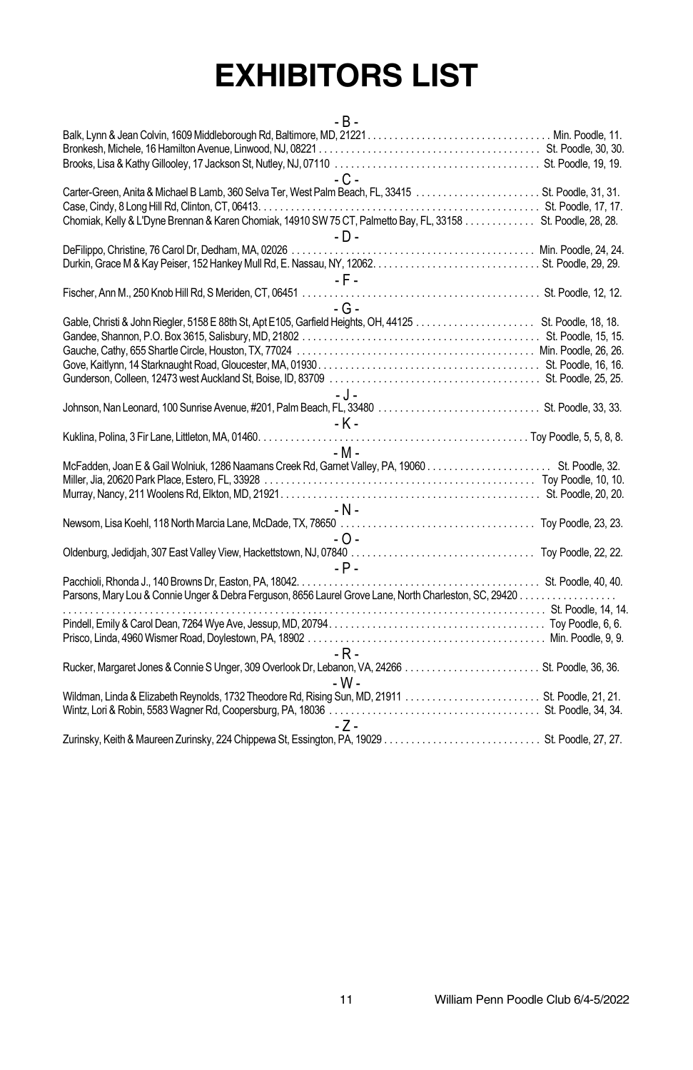# **EXHIBITORS LIST**

| $-R -$                                                                                                       |  |
|--------------------------------------------------------------------------------------------------------------|--|
|                                                                                                              |  |
|                                                                                                              |  |
|                                                                                                              |  |
| $-C -$                                                                                                       |  |
|                                                                                                              |  |
|                                                                                                              |  |
| Chomiak, Kelly & L'Dyne Brennan & Karen Chomiak, 14910 SW 75 CT, Palmetto Bay, FL, 33158 St. Poodle, 28, 28. |  |
| $-D-$                                                                                                        |  |
|                                                                                                              |  |
|                                                                                                              |  |
| $-$ F $-$                                                                                                    |  |
|                                                                                                              |  |
| $-G -$                                                                                                       |  |
|                                                                                                              |  |
|                                                                                                              |  |
|                                                                                                              |  |
|                                                                                                              |  |
|                                                                                                              |  |
|                                                                                                              |  |
| - J -                                                                                                        |  |
|                                                                                                              |  |
| - K -                                                                                                        |  |
|                                                                                                              |  |
| $-M -$                                                                                                       |  |
|                                                                                                              |  |
|                                                                                                              |  |
|                                                                                                              |  |
| - N -                                                                                                        |  |
|                                                                                                              |  |
| - 0 -                                                                                                        |  |
|                                                                                                              |  |
| $-$ P $-$                                                                                                    |  |
|                                                                                                              |  |
|                                                                                                              |  |
|                                                                                                              |  |
|                                                                                                              |  |
|                                                                                                              |  |
| $-R -$                                                                                                       |  |
|                                                                                                              |  |
| - W -                                                                                                        |  |
|                                                                                                              |  |
|                                                                                                              |  |
| -7-                                                                                                          |  |
|                                                                                                              |  |